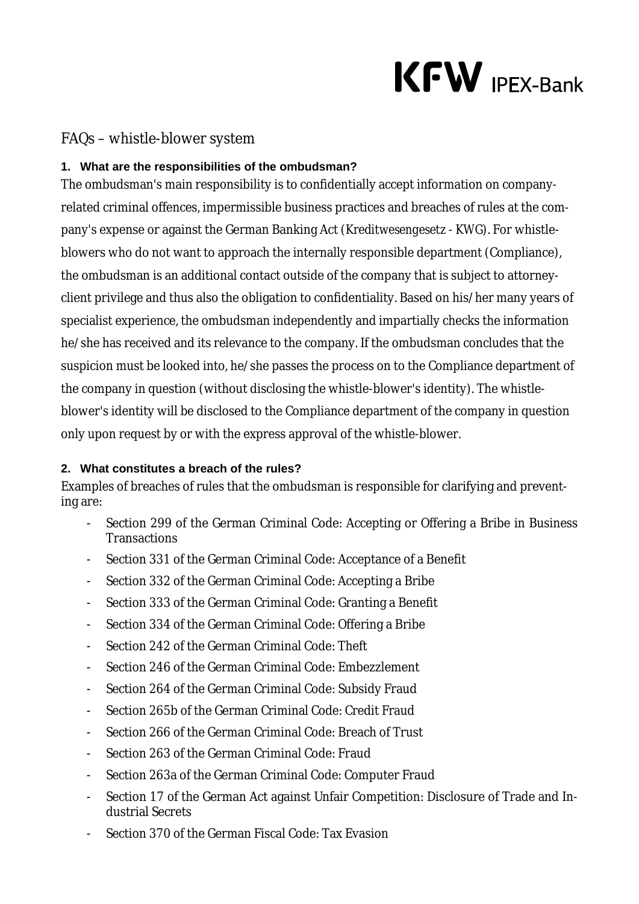# $KFW$  IPEX-Bank

## FAQs – whistle-blower system

#### **1. What are the responsibilities of the ombudsman?**

The ombudsman's main responsibility is to confidentially accept information on companyrelated criminal offences, impermissible business practices and breaches of rules at the company's expense or against the German Banking Act (*Kreditwesengesetz - KWG*). For whistleblowers who do not want to approach the internally responsible department (Compliance), the ombudsman is an additional contact outside of the company that is subject to attorneyclient privilege and thus also the obligation to confidentiality. Based on his/her many years of specialist experience, the ombudsman independently and impartially checks the information he/she has received and its relevance to the company. If the ombudsman concludes that the suspicion must be looked into, he/she passes the process on to the Compliance department of the company in question (without disclosing the whistle-blower's identity). The whistleblower's identity will be disclosed to the Compliance department of the company in question only upon request by or with the express approval of the whistle-blower.

#### **2. What constitutes a breach of the rules?**

Examples of breaches of rules that the ombudsman is responsible for clarifying and preventing are:

- Section 299 of the German Criminal Code: Accepting or Offering a Bribe in Business **Transactions**
- Section 331 of the German Criminal Code: Acceptance of a Benefit
- Section 332 of the German Criminal Code: Accepting a Bribe
- Section 333 of the German Criminal Code: Granting a Benefit
- Section 334 of the German Criminal Code: Offering a Bribe
- Section 242 of the German Criminal Code: Theft
- Section 246 of the German Criminal Code: Embezzlement
- Section 264 of the German Criminal Code: Subsidy Fraud
- Section 265b of the German Criminal Code: Credit Fraud
- Section 266 of the German Criminal Code: Breach of Trust
- Section 263 of the German Criminal Code: Fraud
- Section 263a of the German Criminal Code: Computer Fraud
- Section 17 of the German Act against Unfair Competition: Disclosure of Trade and Industrial Secrets
- Section 370 of the German Fiscal Code: Tax Evasion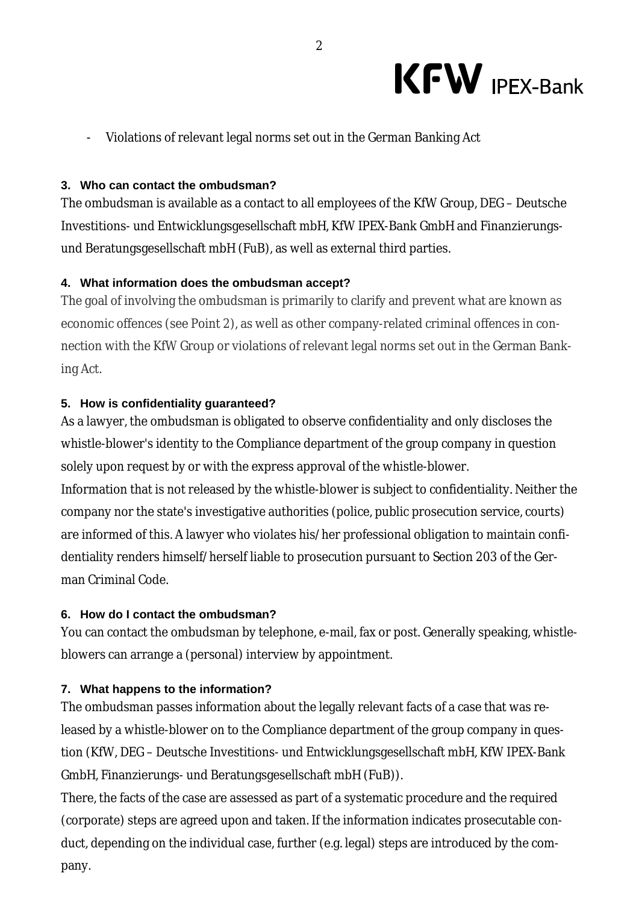

- Violations of relevant legal norms set out in the German Banking Act

#### **3. Who can contact the ombudsman?**

The ombudsman is available as a contact to all employees of the KfW Group, DEG – Deutsche Investitions- und Entwicklungsgesellschaft mbH, KfW IPEX-Bank GmbH and Finanzierungsund Beratungsgesellschaft mbH (FuB), as well as external third parties.

#### **4. What information does the ombudsman accept?**

The goal of involving the ombudsman is primarily to clarify and prevent what are known as economic offences (see Point 2), as well as other company-related criminal offences in connection with the KfW Group or violations of relevant legal norms set out in the German Banking Act.

#### **5. How is confidentiality guaranteed?**

As a lawyer, the ombudsman is obligated to observe confidentiality and only discloses the whistle-blower's identity to the Compliance department of the group company in question solely upon request by or with the express approval of the whistle-blower.

Information that is not released by the whistle-blower is subject to confidentiality. Neither the company nor the state's investigative authorities (police, public prosecution service, courts) are informed of this. A lawyer who violates his/her professional obligation to maintain confidentiality renders himself/herself liable to prosecution pursuant to Section 203 of the German Criminal Code.

#### **6. How do I contact the ombudsman?**

You can contact the ombudsman by telephone, e-mail, fax or post. Generally speaking, whistleblowers can arrange a (personal) interview by appointment.

#### **7. What happens to the information?**

The ombudsman passes information about the legally relevant facts of a case that was released by a whistle-blower on to the Compliance department of the group company in question (KfW, DEG – Deutsche Investitions- und Entwicklungsgesellschaft mbH, KfW IPEX-Bank GmbH, Finanzierungs- und Beratungsgesellschaft mbH (FuB)).

There, the facts of the case are assessed as part of a systematic procedure and the required (corporate) steps are agreed upon and taken. If the information indicates prosecutable conduct, depending on the individual case, further (e.g. legal) steps are introduced by the company.